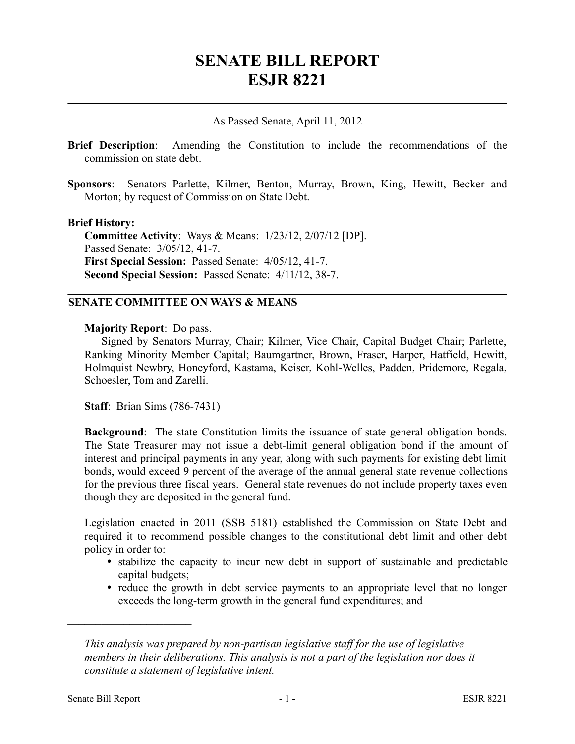# **SENATE BILL REPORT ESJR 8221**

## As Passed Senate, April 11, 2012

- **Brief Description**: Amending the Constitution to include the recommendations of the commission on state debt.
- **Sponsors**: Senators Parlette, Kilmer, Benton, Murray, Brown, King, Hewitt, Becker and Morton; by request of Commission on State Debt.

#### **Brief History:**

**Committee Activity**: Ways & Means: 1/23/12, 2/07/12 [DP]. Passed Senate: 3/05/12, 41-7. **First Special Session:** Passed Senate: 4/05/12, 41-7. **Second Special Session:** Passed Senate: 4/11/12, 38-7.

#### **SENATE COMMITTEE ON WAYS & MEANS**

#### **Majority Report**: Do pass.

Signed by Senators Murray, Chair; Kilmer, Vice Chair, Capital Budget Chair; Parlette, Ranking Minority Member Capital; Baumgartner, Brown, Fraser, Harper, Hatfield, Hewitt, Holmquist Newbry, Honeyford, Kastama, Keiser, Kohl-Welles, Padden, Pridemore, Regala, Schoesler, Tom and Zarelli.

**Staff**: Brian Sims (786-7431)

**Background**: The state Constitution limits the issuance of state general obligation bonds. The State Treasurer may not issue a debt-limit general obligation bond if the amount of interest and principal payments in any year, along with such payments for existing debt limit bonds, would exceed 9 percent of the average of the annual general state revenue collections for the previous three fiscal years. General state revenues do not include property taxes even though they are deposited in the general fund.

Legislation enacted in 2011 (SSB 5181) established the Commission on State Debt and required it to recommend possible changes to the constitutional debt limit and other debt policy in order to:

- stabilize the capacity to incur new debt in support of sustainable and predictable capital budgets;
- reduce the growth in debt service payments to an appropriate level that no longer exceeds the long-term growth in the general fund expenditures; and

––––––––––––––––––––––

*This analysis was prepared by non-partisan legislative staff for the use of legislative members in their deliberations. This analysis is not a part of the legislation nor does it constitute a statement of legislative intent.*